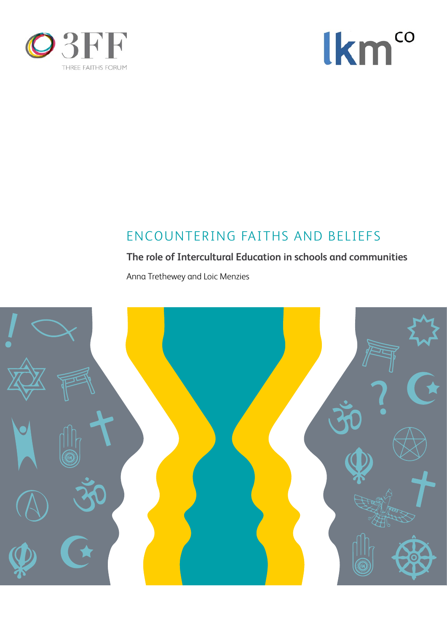



# ENCOUNTERING FAITHS AND BELIEFS

# **The role of Intercultural Education in schools and communities**

Anna Trethewey and Loic Menzies

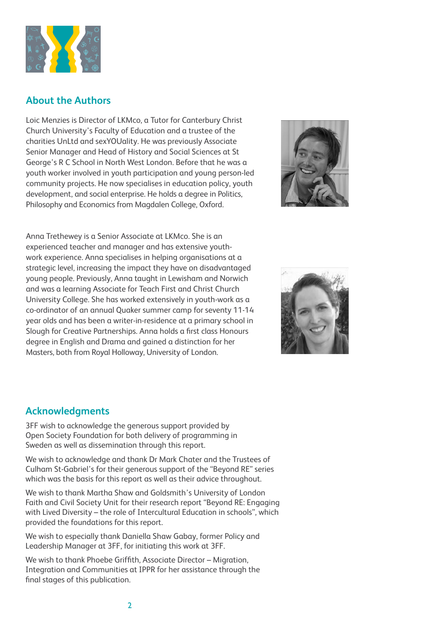

## **About the Authors**

Loic Menzies is Director of LKMco, a Tutor for Canterbury Christ Church University's Faculty of Education and a trustee of the charities UnLtd and sexYOUality. He was previously Associate Senior Manager and Head of History and Social Sciences at St George's R C School in North West London. Before that he was a youth worker involved in youth participation and young person-led community projects. He now specialises in education policy, youth development, and social enterprise. He holds a degree in Politics, Philosophy and Economics from Magdalen College, Oxford.



Anna Trethewey is a Senior Associate at LKMco. She is an experienced teacher and manager and has extensive youthwork experience. Anna specialises in helping organisations at a strategic level, increasing the impact they have on disadvantaged young people. Previously, Anna taught in Lewisham and Norwich and was a learning Associate for Teach First and Christ Church University College. She has worked extensively in youth-work as a co-ordinator of an annual Quaker summer camp for seventy 11-14 year olds and has been a writer-in-residence at a primary school in Slough for Creative Partnerships. Anna holds a first class Honours degree in English and Drama and gained a distinction for her Masters, both from Royal Holloway, University of London.



## **Acknowledgments**

3FF wish to acknowledge the generous support provided by Open Society Foundation for both delivery of programming in Sweden as well as dissemination through this report.

We wish to acknowledge and thank Dr Mark Chater and the Trustees of Culham St-Gabriel's for their generous support of the "Beyond RE" series which was the basis for this report as well as their advice throughout.

We wish to thank Martha Shaw and Goldsmith's University of London Faith and Civil Society Unit for their research report "Beyond RE: Engaging with Lived Diversity – the role of Intercultural Education in schools", which provided the foundations for this report.

We wish to especially thank Daniella Shaw Gabay, former Policy and Leadership Manager at 3FF, for initiating this work at 3FF.

We wish to thank Phoebe Griffith, Associate Director – Migration, Integration and Communities at IPPR for her assistance through the final stages of this publication.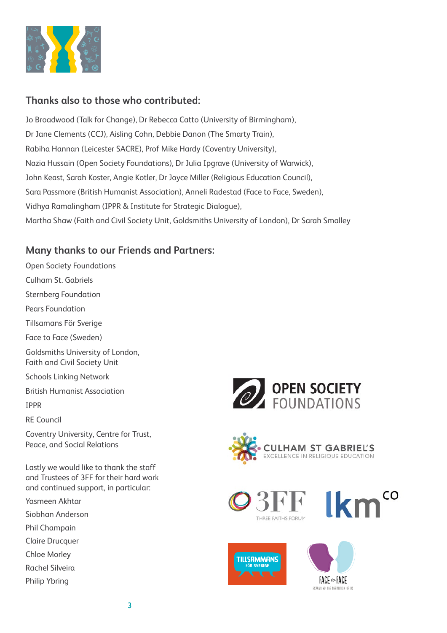

# **Thanks also to those who contributed:**

Jo Broadwood (Talk for Change), Dr Rebecca Catto (University of Birmingham), Dr Jane Clements (CCJ), Aisling Cohn, Debbie Danon (The Smarty Train), Rabiha Hannan (Leicester SACRE), Prof Mike Hardy (Coventry University), Nazia Hussain (Open Society Foundations), Dr Julia Ipgrave (University of Warwick), John Keast, Sarah Koster, Angie Kotler, Dr Joyce Miller (Religious Education Council), Sara Passmore (British Humanist Association), Anneli Radestad (Face to Face, Sweden), Vidhya Ramalingham (IPPR & Institute for Strategic Dialogue), Martha Shaw (Faith and Civil Society Unit, Goldsmiths University of London), Dr Sarah Smalley

# **Many thanks to our Friends and Partners:**

Open Society Foundations Culham St. Gabriels Sternberg Foundation Pears Foundation Tillsamans För Sverige Face to Face (Sweden) Goldsmiths University of London, Faith and Civil Society Unit Schools Linking Network British Humanist Association IPPR RE Council Coventry University, Centre for Trust, Peace, and Social Relations Lastly we would like to thank the staff and Trustees of 3FF for their hard work and continued support, in particular: Yasmeen Akhtar Siobhan Anderson Phil Champain Claire Drucquer Chloe Morley Rachel Silveira

Philip Ybring











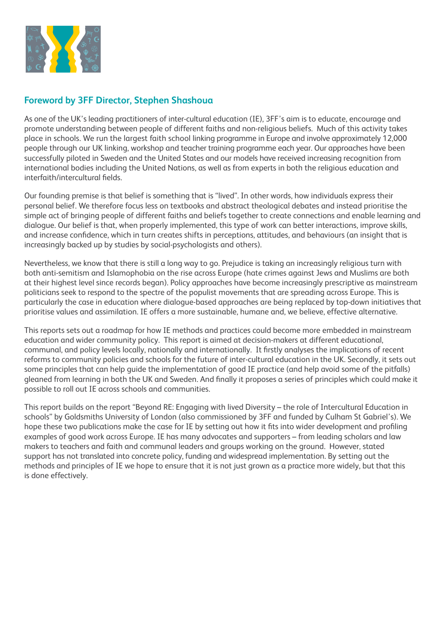

## **Foreword by 3FF Director, Stephen Shashoua**

As one of the UK's leading practitioners of inter-cultural education (IE), 3FF's aim is to educate, encourage and promote understanding between people of different faiths and non-religious beliefs. Much of this activity takes place in schools. We run the largest faith school linking programme in Europe and involve approximately 12,000 people through our UK linking, workshop and teacher training programme each year. Our approaches have been successfully piloted in Sweden and the United States and our models have received increasing recognition from international bodies including the United Nations, as well as from experts in both the religious education and interfaith/intercultural fields.

Our founding premise is that belief is something that is "lived". In other words, how individuals express their personal belief. We therefore focus less on textbooks and abstract theological debates and instead prioritise the simple act of bringing people of different faiths and beliefs together to create connections and enable learning and dialogue. Our belief is that, when properly implemented, this type of work can better interactions, improve skills, and increase confidence, which in turn creates shifts in perceptions, attitudes, and behaviours (an insight that is increasingly backed up by studies by social-psychologists and others).

Nevertheless, we know that there is still a long way to go. Prejudice is taking an increasingly religious turn with both anti-semitism and Islamophobia on the rise across Europe (hate crimes against Jews and Muslims are both at their highest level since records began). Policy approaches have become increasingly prescriptive as mainstream politicians seek to respond to the spectre of the populist movements that are spreading across Europe. This is particularly the case in education where dialogue-based approaches are being replaced by top-down initiatives that prioritise values and assimilation. IE offers a more sustainable, humane and, we believe, effective alternative.

This reports sets out a roadmap for how IE methods and practices could become more embedded in mainstream education and wider community policy. This report is aimed at decision-makers at different educational, communal, and policy levels locally, nationally and internationally. It firstly analyses the implications of recent reforms to community policies and schools for the future of inter-cultural education in the UK. Secondly, it sets out some principles that can help guide the implementation of good IE practice (and help avoid some of the pitfalls) gleaned from learning in both the UK and Sweden. And finally it proposes a series of principles which could make it possible to roll out IE across schools and communities.

This report builds on the report "Beyond RE: Engaging with lived Diversity – the role of Intercultural Education in schools" by Goldsmiths University of London (also commissioned by 3FF and funded by Culham St Gabriel's). We hope these two publications make the case for IE by setting out how it fits into wider development and profiling examples of good work across Europe. IE has many advocates and supporters – from leading scholars and law makers to teachers and faith and communal leaders and groups working on the ground. However, stated support has not translated into concrete policy, funding and widespread implementation. By setting out the methods and principles of IE we hope to ensure that it is not just grown as a practice more widely, but that this is done effectively.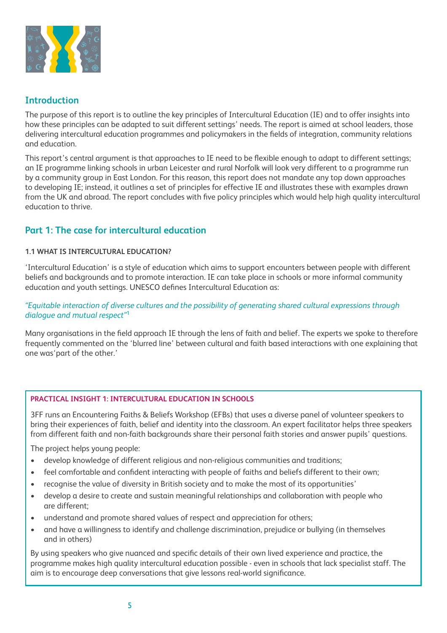

## **Introduction**

The purpose of this report is to outline the key principles of Intercultural Education (IE) and to offer insights into how these principles can be adapted to suit different settings' needs. The report is aimed at school leaders, those delivering intercultural education programmes and policymakers in the fields of integration, community relations and education.

This report's central argument is that approaches to IE need to be flexible enough to adapt to different settings; an IE programme linking schools in urban Leicester and rural Norfolk will look very different to a programme run by a community group in East London. For this reason, this report does not mandate any top down approaches to developing IE; instead, it outlines a set of principles for effective IE and illustrates these with examples drawn from the UK and abroad. The report concludes with five policy principles which would help high quality intercultural education to thrive.

## **Part 1: The case for intercultural education**

#### **1.1 WHAT IS INTERCULTURAL EDUCATION?**

'Intercultural Education' is a style of education which aims to support encounters between people with different beliefs and backgrounds and to promote interaction. IE can take place in schools or more informal community education and youth settings. UNESCO defines Intercultural Education as:

#### *"Equitable interaction of diverse cultures and the possibility of generating shared cultural expressions through dialogue and mutual respect"*<sup>1</sup>

Many organisations in the field approach IE through the lens of faith and belief. The experts we spoke to therefore frequently commented on the 'blurred line' between cultural and faith based interactions with one explaining that one was'part of the other.'

#### **PRACTICAL INSIGHT 1: INTERCULTURAL EDUCATION IN SCHOOLS**

3FF runs an Encountering Faiths & Beliefs Workshop (EFBs) that uses a diverse panel of volunteer speakers to bring their experiences of faith, belief and identity into the classroom. An expert facilitator helps three speakers from different faith and non-faith backgrounds share their personal faith stories and answer pupils' questions.

The project helps young people:

- develop knowledge of different religious and non-religious communities and traditions;
- feel comfortable and confident interacting with people of faiths and beliefs different to their own;
- recognise the value of diversity in British society and to make the most of its opportunities'
- develop a desire to create and sustain meaningful relationships and collaboration with people who are different;
- understand and promote shared values of respect and appreciation for others;
- and have a willingness to identify and challenge discrimination, prejudice or bullying (in themselves and in others)

By using speakers who give nuanced and specific details of their own lived experience and practice, the programme makes high quality intercultural education possible - even in schools that lack specialist staff. The aim is to encourage deep conversations that give lessons real-world significance.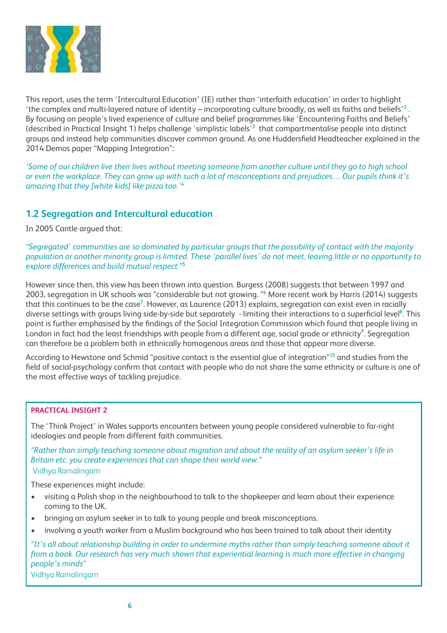

This report, uses the term 'Intercultural Education' (IE) rather than 'interfaith education' in order to highlight 'the complex and multi-layered nature of identity – incorporating culture broadly, as well as faiths and beliefs'<sup>2</sup>. By focusing on people's lived experience of culture and belief programmes like 'Encountering Faiths and Beliefs' (described in Practical Insight 1) helps challenge 'simplistic labels'<sup>3</sup> that compartmentalise people into distinct groups and instead help communities discover common ground. As one Huddersfield Headteacher explained in the 2014 Demos paper "Mapping Integration":

*'Some of our children live their lives without meeting someone from another culture until they go to high school or even the workplace. They can grow up with such a lot of misconceptions and prejudices… Our pupils think it's amazing that they [white kids] like pizza too.'*<sup>4</sup>

## **1.2 Segregation and Intercultural education**

In 2005 Cantle argued that:

*"Segregated' communities are so dominated by particular groups that the possibility of contact with the majority population or another minority group is limited. These 'parallel lives' do not meet, leaving little or no opportunity to explore differences and build mutual respect."*<sup>5</sup> 

However since then, this view has been thrown into question. Burgess (2008) suggests that between 1997 and 2003, segregation in UK schools was "considerable but not growing. "<sup>6</sup> More recent work by Harris (2014) suggests that this continues to be the case<sup>7</sup>. However, as Laurence (2013) explains, segregation can exist even in racially diverse settings with groups living side-by-side but separately - limiting their interactions to a superficial level<sup>8</sup>. This point is further emphasised by the findings of the Social Integration Commission which found that people living in London in fact had the least friendships with people from a different age, social grade or ethnicity $^9$ . Segregation can therefore be a problem both in ethnically homogenous areas and those that appear more diverse.

According to Hewstone and Schmid "positive contact is the essential glue of integration"<sup>10</sup> and studies from the field of social-psychology confirm that contact with people who do not share the same ethnicity or culture is one of the most effective ways of tackling prejudice.

#### **PRACTICAL INSIGHT 2**

The 'Think Project' in Wales supports encounters between young people considered vulnerable to far-right ideologies and people from different faith communities.

*"Rather than simply teaching someone about migration and about the reality of an asylum seeker's life in Britain etc. you create experiences that can shape their world view."* Vidhya Ramalingam

These experiences might include:

- visiting a Polish shop in the neighbourhood to talk to the shopkeeper and learn about their experience coming to the UK.
- bringing an asylum seeker in to talk to young people and break misconceptions.
- involving a youth worker from a Muslim background who has been trained to talk about their identity

*"It's all about relationship building in order to undermine myths rather than simply teaching someone about it from a book. Our research has very much shown that experiential learning is much more effective in changing people's minds"*

Vidhya Ramalingam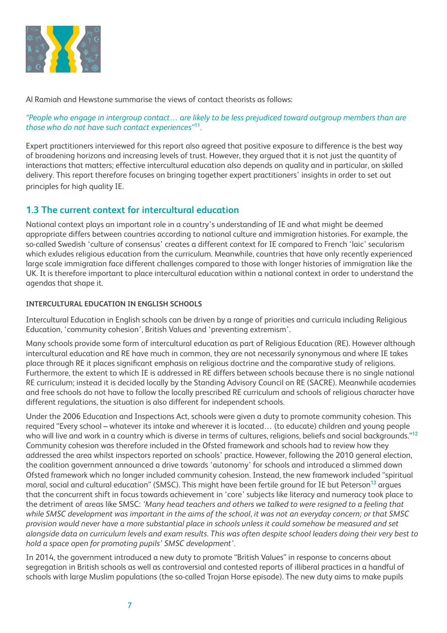

Al Ramiah and Hewstone summarise the views of contact theorists as follows:

#### *"People who engage in intergroup contact… are likely to be less prejudiced toward outgroup members than are those who do not have such contact experiences"*<sup>11</sup>*.*

Expert practitioners interviewed for this report also agreed that positive exposure to difference is the best way of broadening horizons and increasing levels of trust. However, they argued that it is not just the quantity of interactions that matters; effective intercultural education also depends on quality and in particular, on skilled delivery. This report therefore focuses on bringing together expert practitioners' insights in order to set out principles for high quality IE.

## **1.3 The current context for intercultural education**

National context plays an important role in a country's understanding of IE and what might be deemed appropriate differs between countries according to national culture and immigration histories. For example, the so-called Swedish 'culture of consensus' creates a different context for IE compared to French 'laic' secularism which exludes religious education from the curriculum. Meanwhile, countries that have only recently experienced large scale immigration face different challenges compared to those with longer histories of immigration like the UK. It is therefore important to place intercultural education within a national context in order to understand the agendas that shape it.

#### **INTERCULTURAL EDUCATION IN ENGLISH SCHOOLS**

Intercultural Education in English schools can be driven by a range of priorities and curricula including Religious Education, 'community cohesion', British Values and 'preventing extremism'.

Many schools provide some form of intercultural education as part of Religious Education (RE). However although intercultural education and RE have much in common, they are not necessarily synonymous and where IE takes place through RE it places significant emphasis on religious doctrine and the comparative study of religions. Furthermore, the extent to which IE is addressed in RE differs between schools because there is no single national RE curriculum; instead it is decided locally by the Standing Advisory Council on RE (SACRE). Meanwhile academies and free schools do not have to follow the locally prescribed RE curriculum and schools of religious character have different regulations, the situation is also different for independent schools.

Under the 2006 Education and Inspections Act, schools were given a duty to promote community cohesion. This required "Every school – whatever its intake and wherever it is located… (to educate) children and young people who will live and work in a country which is diverse in terms of cultures, religions, beliefs and social backgrounds."<sup>12</sup> Community cohesion was therefore included in the Ofsted framework and schools had to review how they addressed the area whilst inspectors reported on schools' practice. However, following the 2010 general election, the coalition government announced a drive towards 'autonomy' for schools and introduced a slimmed down Ofsted framework which no longer included community cohesion. Instead, the new framework included "spiritual moral, social and cultural education" (SMSC). This might have been fertile ground for IE but Peterson<sup>13</sup> argues that the concurrent shift in focus towards achievement in 'core' subjects like literacy and numeracy took place to the detriment of areas like SMSC: *'Many head teachers and others we talked to were resigned to a feeling that while SMSC development was important in the aims of the school, it was not an everyday concern; or that SMSC provision would never have a more substantial place in schools unless it could somehow be measured and set alongside data on curriculum levels and exam results. This was often despite school leaders doing their very best to hold a space open for promoting pupils' SMSC development'.*

In 2014, the government introduced a new duty to promote "British Values" in response to concerns about segregation in British schools as well as controversial and contested reports of illiberal practices in a handful of schools with large Muslim populations (the so-called Trojan Horse episode). The new duty aims to make pupils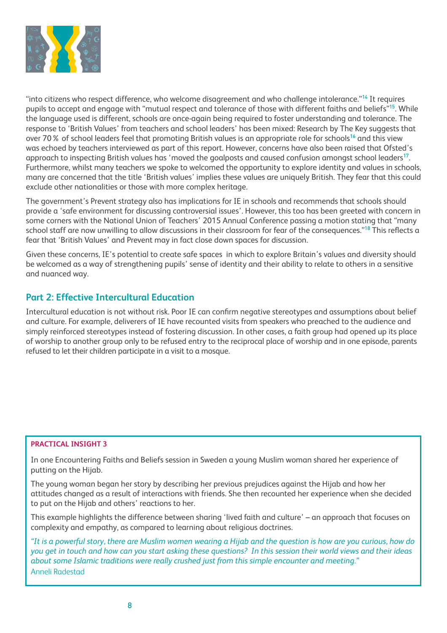

"into citizens who respect difference, who welcome disagreement and who challenge intolerance."<sup>14</sup> It requires pupils to accept and engage with "mutual respect and tolerance of those with different faiths and beliefs"<sup>15</sup>. While the language used is different, schools are once-again being required to foster understanding and tolerance. The response to 'British Values' from teachers and school leaders' has been mixed: Research by The Key suggests that over 70% of school leaders feel that promoting British values is an appropriate role for schools<sup>16</sup> and this view was echoed by teachers interviewed as part of this report. However, concerns have also been raised that Ofsted's approach to inspecting British values has 'moved the goalposts and caused confusion amongst school leaders<sup>17</sup>. Furthermore, whilst many teachers we spoke to welcomed the opportunity to explore identity and values in schools, many are concerned that the title 'British values' implies these values are uniquely British. They fear that this could exclude other nationalities or those with more complex heritage.

The government's Prevent strategy also has implications for IE in schools and recommends that schools should provide a 'safe environment for discussing controversial issues'. However, this too has been greeted with concern in some corners with the National Union of Teachers' 2015 Annual Conference passing a motion stating that "many school staff are now unwilling to allow discussions in their classroom for fear of the consequences."<sup>18</sup> This reflects a fear that 'British Values' and Prevent may in fact close down spaces for discussion.

Given these concerns, IE's potential to create safe spaces in which to explore Britain's values and diversity should be welcomed as a way of strengthening pupils' sense of identity and their ability to relate to others in a sensitive and nuanced way.

## **Part 2: Effective Intercultural Education**

Intercultural education is not without risk. Poor IE can confirm negative stereotypes and assumptions about belief and culture. For example, deliverers of IE have recounted visits from speakers who preached to the audience and simply reinforced stereotypes instead of fostering discussion. In other cases, a faith group had opened up its place of worship to another group only to be refused entry to the reciprocal place of worship and in one episode, parents refused to let their children participate in a visit to a mosque.

#### **PRACTICAL INSIGHT 3**

In one Encountering Faiths and Beliefs session in Sweden a young Muslim woman shared her experience of putting on the Hijab.

The young woman began her story by describing her previous prejudices against the Hijab and how her attitudes changed as a result of interactions with friends. She then recounted her experience when she decided to put on the Hijab and others' reactions to her.

This example highlights the difference between sharing 'lived faith and culture' – an approach that focuses on complexity and empathy, as compared to learning about religious doctrines.

*"It is a powerful story, there are Muslim women wearing a Hijab and the question is how are you curious, how do you get in touch and how can you start asking these questions? In this session their world views and their ideas about some Islamic traditions were really crushed just from this simple encounter and meeting."*  Anneli Radestad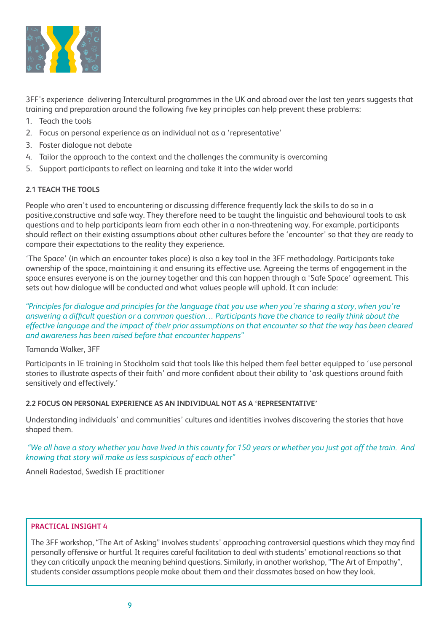

3FF's experience delivering Intercultural programmes in the UK and abroad over the last ten years suggests that training and preparation around the following five key principles can help prevent these problems:

- 1. Teach the tools
- 2. Focus on personal experience as an individual not as a 'representative'
- 3. Foster dialogue not debate
- 4. Tailor the approach to the context and the challenges the community is overcoming
- 5. Support participants to reflect on learning and take it into the wider world

#### **2.1 TEACH THE TOOLS**

People who aren't used to encountering or discussing difference frequently lack the skills to do so in a positive,constructive and safe way. They therefore need to be taught the linguistic and behavioural tools to ask questions and to help participants learn from each other in a non-threatening way. For example, participants should reflect on their existing assumptions about other cultures before the 'encounter' so that they are ready to compare their expectations to the reality they experience.

'The Space' (in which an encounter takes place) is also a key tool in the 3FF methodology. Participants take ownership of the space, maintaining it and ensuring its effective use. Agreeing the terms of engagement in the space ensures everyone is on the journey together and this can happen through a 'Safe Space' agreement. This sets out how dialogue will be conducted and what values people will uphold. It can include:

*"Principles for dialogue and principles for the language that you use when you're sharing a story, when you're answering a difficult question or a common question… Participants have the chance to really think about the effective language and the impact of their prior assumptions on that encounter so that the way has been cleared and awareness has been raised before that encounter happens"* 

#### Tamanda Walker, 3FF

Participants in IE training in Stockholm said that tools like this helped them feel better equipped to 'use personal stories to illustrate aspects of their faith' and more confident about their ability to 'ask questions around faith sensitively and effectively.'

#### **2.2 FOCUS ON PERSONAL EXPERIENCE AS AN INDIVIDUAL NOT AS A 'REPRESENTATIVE'**

Understanding individuals' and communities' cultures and identities involves discovering the stories that have shaped them.

#### *"We all have a story whether you have lived in this county for 150 years or whether you just got off the train. And knowing that story will make us less suspicious of each other"*

Anneli Radestad, Swedish IE practitioner

#### **PRACTICAL INSIGHT 4**

The 3FF workshop, "The Art of Asking" involves students' approaching controversial questions which they may find personally offensive or hurtful. It requires careful facilitation to deal with students' emotional reactions so that they can critically unpack the meaning behind questions. Similarly, in another workshop, "The Art of Empathy", students consider assumptions people make about them and their classmates based on how they look.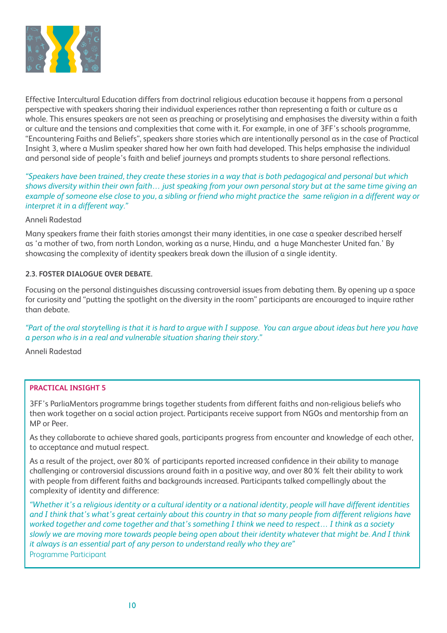

Effective Intercultural Education differs from doctrinal religious education because it happens from a personal perspective with speakers sharing their individual experiences rather than representing a faith or culture as a whole. This ensures speakers are not seen as preaching or proselytising and emphasises the diversity within a faith or culture and the tensions and complexities that come with it. For example, in one of 3FF's schools programme, "Encountering Faiths and Beliefs", speakers share stories which are intentionally personal as in the case of Practical Insight 3, where a Muslim speaker shared how her own faith had developed. This helps emphasise the individual and personal side of people's faith and belief journeys and prompts students to share personal reflections.

*"Speakers have been trained, they create these stories in a way that is both pedagogical and personal but which shows diversity within their own faith… just speaking from your own personal story but at the same time giving an example of someone else close to you, a sibling or friend who might practice the same religion in a different way or interpret it in a different way."* 

#### Anneli Radestad

Many speakers frame their faith stories amongst their many identities, in one case a speaker described herself as 'a mother of two, from north London, working as a nurse, Hindu, and a huge Manchester United fan.' By showcasing the complexity of identity speakers break down the illusion of a single identity.

#### **2.3. FOSTER DIALOGUE OVER DEBATE.**

Focusing on the personal distinguishes discussing controversial issues from debating them. By opening up a space for curiosity and "putting the spotlight on the diversity in the room" participants are encouraged to inquire rather than debate.

*"Part of the oral storytelling is that it is hard to argue with I suppose. You can argue about ideas but here you have a person who is in a real and vulnerable situation sharing their story."* 

Anneli Radestad

#### **PRACTICAL INSIGHT 5**

3FF's ParliaMentors programme brings together students from different faiths and non-religious beliefs who then work together on a social action project. Participants receive support from NGOs and mentorship from an MP or Peer.

As they collaborate to achieve shared goals, participants progress from encounter and knowledge of each other, to acceptance and mutual respect.

As a result of the project, over 80% of participants reported increased confidence in their ability to manage challenging or controversial discussions around faith in a positive way, and over 80% felt their ability to work with people from different faiths and backgrounds increased. Participants talked compellingly about the complexity of identity and difference:

*"Whether it's a religious identity or a cultural identity or a national identity, people will have different identities and I think that's what's great certainly about this country in that so many people from different religions have worked together and come together and that's something I think we need to respect… I think as a society slowly we are moving more towards people being open about their identity whatever that might be. And I think it always is an essential part of any person to understand really who they are"* Programme Participant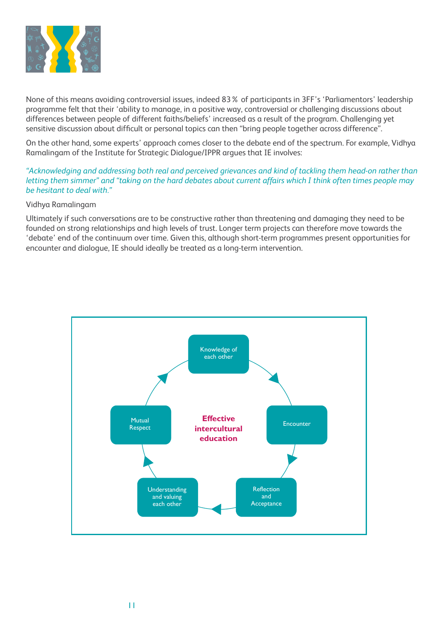

None of this means avoiding controversial issues, indeed 83% of participants in 3FF's 'Parliamentors' leadership programme felt that their 'ability to manage, in a positive way, controversial or challenging discussions about differences between people of different faiths/beliefs' increased as a result of the program. Challenging yet sensitive discussion about difficult or personal topics can then "bring people together across difference".

On the other hand, some experts' approach comes closer to the debate end of the spectrum. For example, Vidhya Ramalingam of the Institute for Strategic Dialogue/IPPR argues that IE involves:

*"Acknowledging and addressing both real and perceived grievances and kind of tackling them head-on rather than letting them simmer" and "taking on the hard debates about current affairs which I think often times people may be hesitant to deal with."* 

#### Vidhya Ramalingam

Ultimately if such conversations are to be constructive rather than threatening and damaging they need to be founded on strong relationships and high levels of trust. Longer term projects can therefore move towards the 'debate' end of the continuum over time. Given this, although short-term programmes present opportunities for encounter and dialogue, IE should ideally be treated as a long-term intervention.

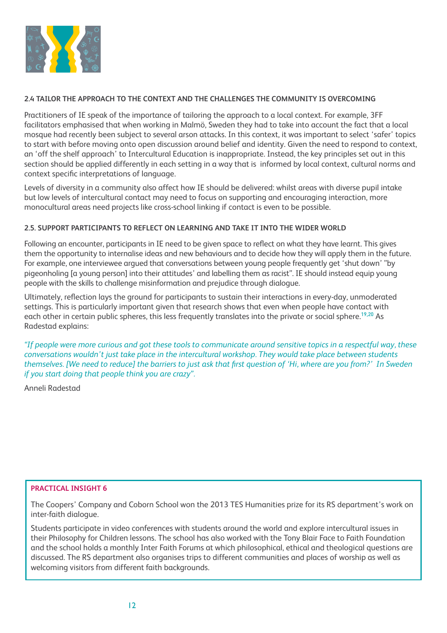

#### **2.4 TAILOR THE APPROACH TO THE CONTEXT AND THE CHALLENGES THE COMMUNITY IS OVERCOMING**

Practitioners of IE speak of the importance of tailoring the approach to a local context. For example, 3FF facilitators emphasised that when working in Malmö, Sweden they had to take into account the fact that a local mosque had recently been subject to several arson attacks. In this context, it was important to select 'safer' topics to start with before moving onto open discussion around belief and identity. Given the need to respond to context, an 'off the shelf approach' to Intercultural Education is inappropriate. Instead, the key principles set out in this section should be applied differently in each setting in a way that is informed by local context, cultural norms and context specific interpretations of language.

Levels of diversity in a community also affect how IE should be delivered: whilst areas with diverse pupil intake but low levels of intercultural contact may need to focus on supporting and encouraging interaction, more monocultural areas need projects like cross-school linking if contact is even to be possible.

#### **2.5. SUPPORT PARTICIPANTS TO REFLECT ON LEARNING AND TAKE IT INTO THE WIDER WORLD**

Following an encounter, participants in IE need to be given space to reflect on what they have learnt. This gives them the opportunity to internalise ideas and new behaviours and to decide how they will apply them in the future. For example, one interviewee argued that conversations between young people frequently get 'shut down' "by pigeonholing [a young person] into their attitudes' and labelling them as racist". IE should instead equip young people with the skills to challenge misinformation and prejudice through dialogue.

Ultimately, reflection lays the ground for participants to sustain their interactions in every-day, unmoderated settings. This is particularly important given that research shows that even when people have contact with each other in certain public spheres, this less frequently translates into the private or social sphere.<sup>19,20</sup> As Radestad explains:

*"If people were more curious and got these tools to communicate around sensitive topics in a respectful way, these conversations wouldn't just take place in the intercultural workshop. They would take place between students themselves. [We need to reduce] the barriers to just ask that first question of 'Hi, where are you from?' In Sweden if you start doing that people think you are crazy".*

Anneli Radestad

#### **PRACTICAL INSIGHT 6**

The Coopers' Company and Coborn School won the 2013 TES Humanities prize for its RS department's work on inter-faith dialogue.

Students participate in video conferences with students around the world and explore intercultural issues in their Philosophy for Children lessons. The school has also worked with the Tony Blair Face to Faith Foundation and the school holds a monthly Inter Faith Forums at which philosophical, ethical and theological questions are discussed. The RS department also organises trips to different communities and places of worship as well as welcoming visitors from different faith backgrounds.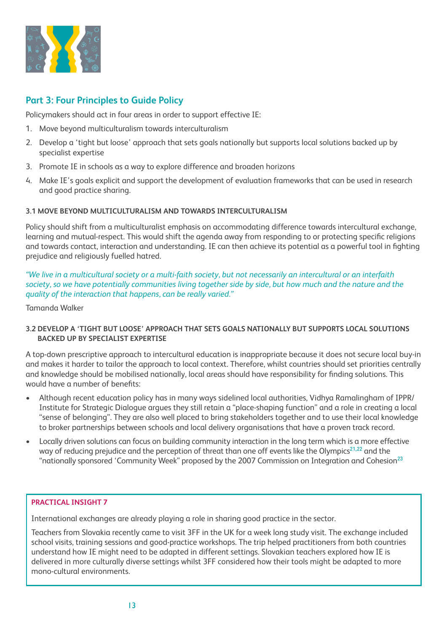

# **Part 3: Four Principles to Guide Policy**

Policymakers should act in four areas in order to support effective IE:

- 1. Move beyond multiculturalism towards interculturalism
- 2. Develop a 'tight but loose' approach that sets goals nationally but supports local solutions backed up by specialist expertise
- 3. Promote IE in schools as a way to explore difference and broaden horizons
- 4. Make IE's goals explicit and support the development of evaluation frameworks that can be used in research and good practice sharing.

#### **3.1 MOVE BEYOND MULTICULTURALISM AND TOWARDS INTERCULTURALISM**

Policy should shift from a multiculturalist emphasis on accommodating difference towards intercultural exchange, learning and mutual-respect. This would shift the agenda away from responding to or protecting specific religions and towards contact, interaction and understanding. IE can then achieve its potential as a powerful tool in fighting prejudice and religiously fuelled hatred.

*"We live in a multicultural society or a multi-faith society, but not necessarily an intercultural or an interfaith*  society, so we have potentially communities living together side by side, but how much and the nature and the *quality of the interaction that happens, can be really varied."*

Tamanda Walker

#### **3.2 DEVELOP A 'TIGHT BUT LOOSE' APPROACH THAT SETS GOALS NATIONALLY BUT SUPPORTS LOCAL SOLUTIONS BACKED UP BY SPECIALIST EXPERTISE**

A top-down prescriptive approach to intercultural education is inappropriate because it does not secure local buy-in and makes it harder to tailor the approach to local context. Therefore, whilst countries should set priorities centrally and knowledge should be mobilised nationally, local areas should have responsibility for finding solutions. This would have a number of benefits:

- Although recent education policy has in many ways sidelined local authorities, Vidhya Ramalingham of IPPR/ Institute for Strategic Dialogue argues they still retain a "place-shaping function" and a role in creating a local "sense of belonging". They are also well placed to bring stakeholders together and to use their local knowledge to broker partnerships between schools and local delivery organisations that have a proven track record.
- Locally driven solutions can focus on building community interaction in the long term which is a more effective way of reducing prejudice and the perception of threat than one off events like the Olympics<sup>21,22</sup> and the "nationally sponsored 'Community Week" proposed by the 2007 Commission on Integration and Cohesion<sup>23</sup>

#### **PRACTICAL INSIGHT 7**

International exchanges are already playing a role in sharing good practice in the sector.

Teachers from Slovakia recently came to visit 3FF in the UK for a week long study visit. The exchange included school visits, training sessions and good-practice workshops. The trip helped practitioners from both countries understand how IE might need to be adapted in different settings. Slovakian teachers explored how IE is delivered in more culturally diverse settings whilst 3FF considered how their tools might be adapted to more mono-cultural environments.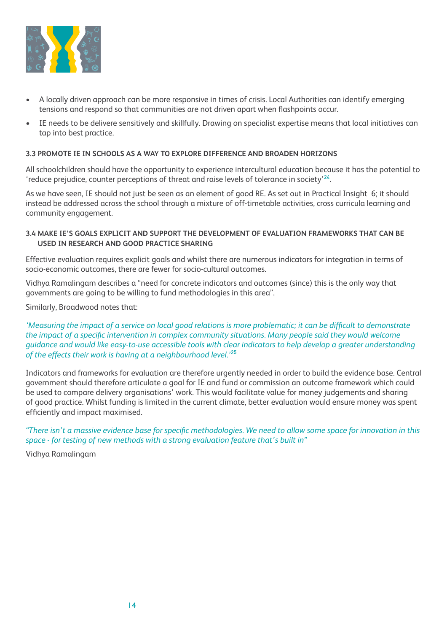

- A locally driven approach can be more responsive in times of crisis. Local Authorities can identify emerging tensions and respond so that communities are not driven apart when flashpoints occur.
- IE needs to be delivere sensitively and skillfully. Drawing on specialist expertise means that local initiatives can tap into best practice.

#### **3.3 PROMOTE IE IN SCHOOLS AS A WAY TO EXPLORE DIFFERENCE AND BROADEN HORIZONS**

All schoolchildren should have the opportunity to experience intercultural education because it has the potential to 'reduce prejudice, counter perceptions of threat and raise levels of tolerance in society'<sup>24</sup>.

As we have seen, IE should not just be seen as an element of good RE. As set out in Practical Insight 6; it should instead be addressed across the school through a mixture of off-timetable activities, cross curricula learning and community engagement.

#### **3.4 MAKE IE'S GOALS EXPLICIT AND SUPPORT THE DEVELOPMENT OF EVALUATION FRAMEWORKS THAT CAN BE USED IN RESEARCH AND GOOD PRACTICE SHARING**

Effective evaluation requires explicit goals and whilst there are numerous indicators for integration in terms of socio-economic outcomes, there are fewer for socio-cultural outcomes.

Vidhya Ramalingam describes a "need for concrete indicators and outcomes (since) this is the only way that governments are going to be willing to fund methodologies in this area".

Similarly, Broadwood notes that:

*'Measuring the impact of a service on local good relations is more problematic; it can be difficult to demonstrate the impact of a specific intervention in complex community situations. Many people said they would welcome guidance and would like easy-to-use accessible tools with clear indicators to help develop a greater understanding of the effects their work is having at a neighbourhood level.'*<sup>25</sup>

Indicators and frameworks for evaluation are therefore urgently needed in order to build the evidence base. Central government should therefore articulate a goal for IE and fund or commission an outcome framework which could be used to compare delivery organisations' work. This would facilitate value for money judgements and sharing of good practice. Whilst funding is limited in the current climate, better evaluation would ensure money was spent efficiently and impact maximised.

*"There isn't a massive evidence base for specific methodologies. We need to allow some space for innovation in this space - for testing of new methods with a strong evaluation feature that's built in"* 

Vidhya Ramalingam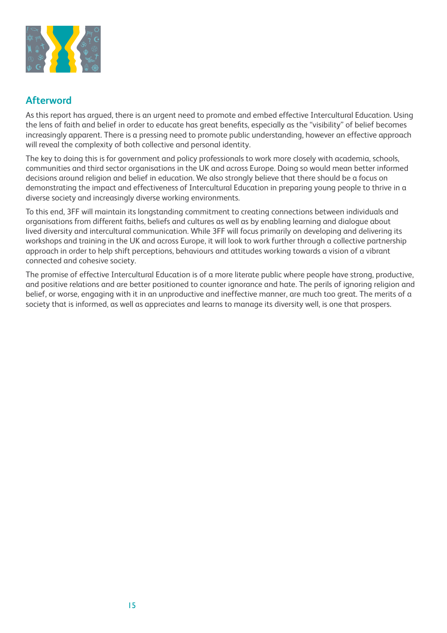

## **Afterword**

As this report has argued, there is an urgent need to promote and embed effective Intercultural Education. Using the lens of faith and belief in order to educate has great benefits, especially as the "visibility" of belief becomes increasingly apparent. There is a pressing need to promote public understanding, however an effective approach will reveal the complexity of both collective and personal identity.

The key to doing this is for government and policy professionals to work more closely with academia, schools, communities and third sector organisations in the UK and across Europe. Doing so would mean better informed decisions around religion and belief in education. We also strongly believe that there should be a focus on demonstrating the impact and effectiveness of Intercultural Education in preparing young people to thrive in a diverse society and increasingly diverse working environments.

To this end, 3FF will maintain its longstanding commitment to creating connections between individuals and organisations from different faiths, beliefs and cultures as well as by enabling learning and dialogue about lived diversity and intercultural communication. While 3FF will focus primarily on developing and delivering its workshops and training in the UK and across Europe, it will look to work further through a collective partnership approach in order to help shift perceptions, behaviours and attitudes working towards a vision of a vibrant connected and cohesive society.

The promise of effective Intercultural Education is of a more literate public where people have strong, productive, and positive relations and are better positioned to counter ignorance and hate. The perils of ignoring religion and belief, or worse, engaging with it in an unproductive and ineffective manner, are much too great. The merits of a society that is informed, as well as appreciates and learns to manage its diversity well, is one that prospers.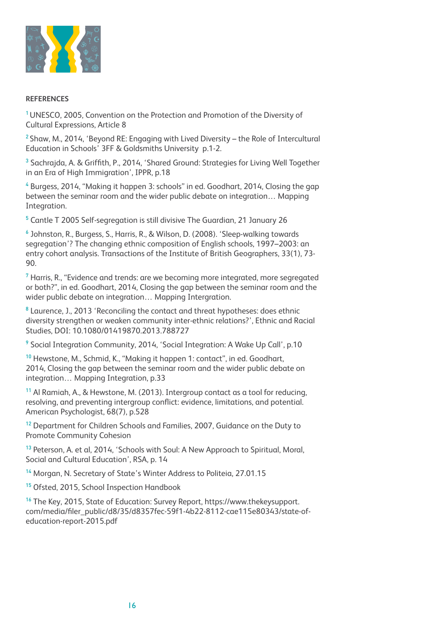

#### **REFERENCES**

<sup>1</sup>UNESCO, 2005, Convention on the Protection and Promotion of the Diversity of Cultural Expressions, Article 8

 $2$  Shaw, M., 2014, 'Beyond RE: Engaging with Lived Diversity – the Role of Intercultural Education in Schools' 3FF & Goldsmiths University p.1-2.

<sup>3</sup> Sachrajda, A. & Griffith, P., 2014, 'Shared Ground: Strategies for Living Well Together in an Era of High Immigration', IPPR, p.18

4 Burgess, 2014, "Making it happen 3: schools" in ed. Goodhart, 2014, Closing the gap between the seminar room and the wider public debate on integration… Mapping Integration.

5 Cantle T 2005 Self-segregation is still divisive The Guardian, 21 January 26

6 Johnston, R., Burgess, S., Harris, R., & Wilson, D. (2008). 'Sleep-walking towards segregation'? The changing ethnic composition of English schools, 1997–2003: an entry cohort analysis. Transactions of the Institute of British Geographers, 33(1), 73- 90.

 $7$  Harris, R., "Evidence and trends: are we becoming more integrated, more segregated or both?", in ed. Goodhart, 2014, Closing the gap between the seminar room and the wider public debate on integration… Mapping Intergration.

<sup>8</sup> Laurence, J., 2013 'Reconciling the contact and threat hypotheses: does ethnic diversity strengthen or weaken community inter-ethnic relations?', Ethnic and Racial Studies, DOI: 10.1080/01419870.2013.788727

<sup>9</sup> Social Integration Community, 2014, 'Social Integration: A Wake Up Call', p.10

<sup>10</sup> Hewstone, M., Schmid, K., "Making it happen 1: contact", in ed. Goodhart, 2014, Closing the gap between the seminar room and the wider public debate on integration… Mapping Integration, p.33

<sup>11</sup> Al Ramiah, A., & Hewstone, M. (2013). Intergroup contact as a tool for reducing, resolving, and preventing intergroup conflict: evidence, limitations, and potential. American Psychologist, 68(7), p.528

<sup>12</sup> Department for Children Schools and Families, 2007, Guidance on the Duty to Promote Community Cohesion

<sup>13</sup> Peterson, A. et al, 2014, 'Schools with Soul: A New Approach to Spiritual, Moral, Social and Cultural Education', RSA, p. 14

<sup>14</sup> Morgan, N. Secretary of State's Winter Address to Politeia, 27.01.15

<sup>15</sup> Ofsted, 2015, School Inspection Handbook

<sup>16</sup> The Key, 2015, State of Education: Survey Report, https://www.thekeysupport. com/media/filer\_public/d8/35/d8357fec-59f1-4b22-8112-cae115e80343/state-ofeducation-report-2015.pdf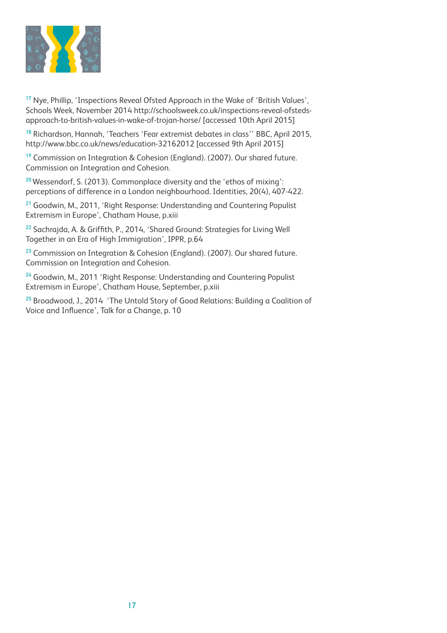

<sup>17</sup> Nye, Phillip, 'Inspections Reveal Ofsted Approach in the Wake of 'British Values', Schools Week, November 2014 http://schoolsweek.co.uk/inspections-reveal-ofstedsapproach-to-british-values-in-wake-of-trojan-horse/ [accessed 10th April 2015]

<sup>18</sup> Richardson, Hannah, 'Teachers 'Fear extremist debates in class'' BBC, April 2015, http://www.bbc.co.uk/news/education-32162012 [accessed 9th April 2015]

<sup>19</sup> Commission on Integration & Cohesion (England). (2007). Our shared future. Commission on Integration and Cohesion.

<sup>20</sup> Wessendorf, S. (2013). Commonplace diversity and the 'ethos of mixing': perceptions of difference in a London neighbourhood. Identities, 20(4), 407-422.

<sup>21</sup> Goodwin, M., 2011, 'Right Response: Understanding and Countering Populist Extremism in Europe', Chatham House, p.xiii

<sup>22</sup> Sachrajda, A. & Griffith, P., 2014, 'Shared Ground: Strategies for Living Well Together in an Era of High Immigration', IPPR, p.64

<sup>23</sup> Commission on Integration & Cohesion (England). (2007). Our shared future. Commission on Integration and Cohesion.

<sup>24</sup> Goodwin, M., 2011 'Right Response: Understanding and Countering Populist Extremism in Europe', Chatham House, September, p.xiii

<sup>25</sup> Broadwood, J., 2014 'The Untold Story of Good Relations: Building a Coalition of Voice and Influence', Talk for a Change, p. 10